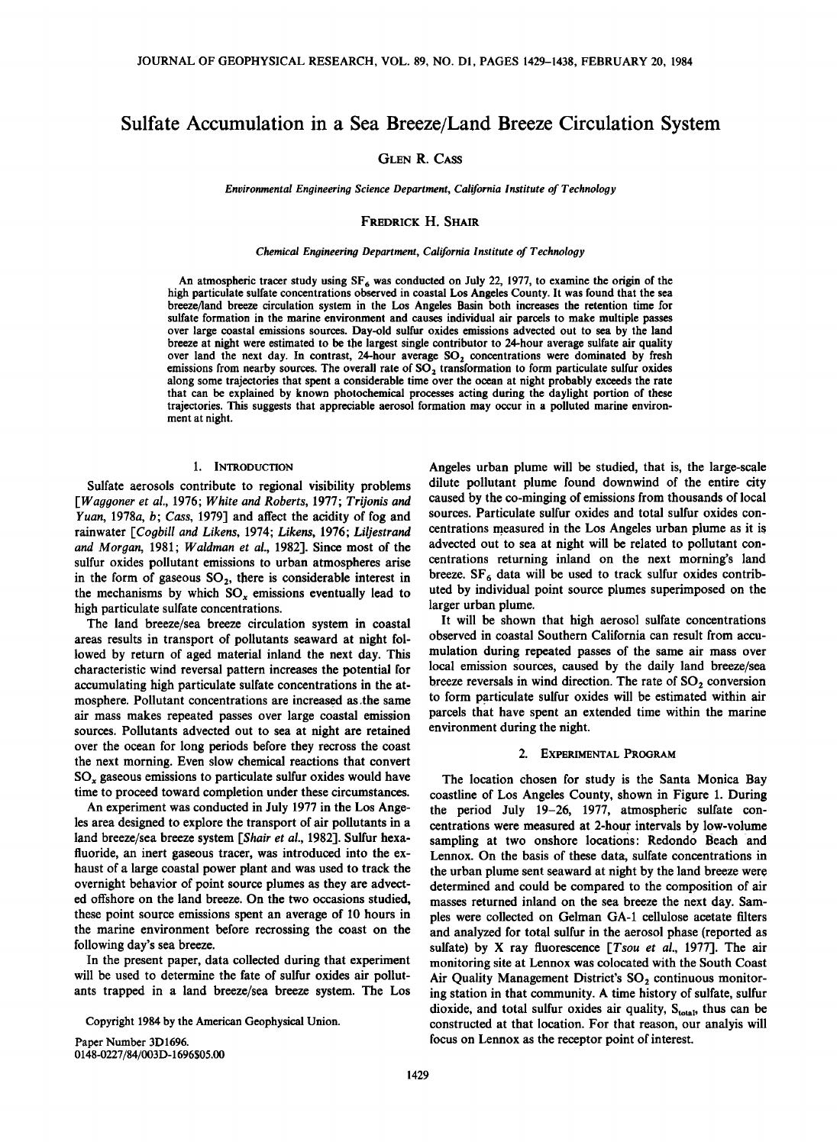# **Sulfate Accumulation in a Sea Breeze/Land Breeze Circulation System**

**GLEN R. CASS** 

**Environmental Engineering Science Department, California Institute of Technology** 

### **FREDRICK H. SHAIR**

#### **Chemical Engineering Department, California Institute of Technology**

An atmospheric tracer study using SF<sub>6</sub> was conducted on July 22, 1977, to examine the origin of the **high particulate sulfate concentrations observed in coastal Los Angeles County. It was found that the sea breeze/land breeze circulation system in the Los Angeles Basin both increases the retention time for sulfate formation in the marine environment and causes individual air parcels to make multiple passes over large coastal emissions sources. Day-old sulfur oxides emissions advected out to sea by the land breeze at night were estimated to be the largest single contributor to 24-hour average sulfate air quality over land the next day. In contrast, 24-hour average SO,• concentrations were dominated by fresh**  emissions from nearby sources. The overall rate of SO<sub>2</sub> transformation to form particulate sulfur oxides **along some trajectories that spent a considerable time over the ocean at night probably exceeds the rate that can be explained by known photochemical processes acting during the daylight portion of these trajectories. This suggests that appreciable aerosol formation may occur in a polluted marine environment at night.** 

### **1. INTRODUCTION**

**Sulfate aerosols contribute to regional visibility problems [Waggoner et al., 1976; White and Roberts, 1977; Trijonis and Yuan, 1978a, b; Cass, 1979] and affect the acidity of fog and**  rainwater [Coqbill and Likens, 1974; Likens, 1976; Liliestrand and Morgan, 1981; Waldman et al., 1982]. Since most of the **sulfur oxides pollutant emissions to urban atmospheres arise**  in the form of gaseous SO<sub>2</sub>, there is considerable interest in the mechanisms by which SO<sub>x</sub> emissions eventually lead to **high particulate sulfate concentrations.** 

**The land breeze/sea breeze circulation system in coastal areas results in transport of pollutants seaward at night followed by return of aged material inland the next day. This characteristic wind reversal pattern increases the potential for accumulating high particulate sulfate concentrations in the at**mosphere. Pollutant concentrations are increased as the same **air mass makes repeated passes over large coastal emission sources. Pollutants advected out to sea at night are retained over the ocean for long periods before they recross the coast the next morning. Even slow chemical reactions that convert SOx gaseous emissions to particulate sulfur oxides would have time to proceed toward completion under these circumstances.** 

**An experiment was conducted in July 1977 in the Los Angeles area designed to explore the transport of air pollutants in a land breeze/sea breeze system [Shair et al., 1982]. Sulfur hexafluoride, an inert gaseous tracer, was introduced into the exhaust of a large coastal power plant and was used to track the overnight behavior of point source plumes as they are advected offshore on the land breeze. On the two occasions studied, these point source emissions spent an average of 10 hours in the marine environment before recrossing the coast on the following day's sea breeze.** 

**In the present paper, data collected during that experiment will be used to determine the fate of sulfur oxides air pollutants trapped in a land breeze/sea breeze system. The Los** 

**Copyright 1984 by the American Geophysical Union.** 

Paper Number 3D1696. 0148-0227/84/003D-1696\$05.00 **Angeles urban plume will be studied, that is, the large-scale dilute pollutant plume found downwind of the entire city caused by the co-minging of emissions from thousands of local sources. Particulate sulfur oxides and total sulfur oxides concentrations measured in the Los Angeles urban plume as it is advected out to sea at night will be related to pollutant concentrations returning inland on the next morning's land**  breeze. SF<sub>6</sub> data will be used to track sulfur oxides contrib**uted by individual point source plumes superimposed on the larger urban plume.** 

**It will be shown that high aerosol sulfate concentrations observed in coastal Southern California can result from accumulation during repeated passes of the same air mass over local emission sources, caused by the daily land breeze/sea**  breeze reversals in wind direction. The rate of SO<sub>2</sub> conversion **to form particulate sulfur oxides will be estimated within air parcels that have spent an extended time within the marine environment during the night.** 

### **2. EXPERIMENTAL PROGRAM**

**The location chosen for study is the Santa Monica Bay coastline of Los Angeles County, shown in Figure 1. During the period July 19-26, 1977, atmospheric sulfate concentrations were measured at 2-hour intervals by low-volume sampling at two onshore locations' Redondo Beach and Lennox. On the basis of these data, sulfate concentrations in the urban plume sent seaward at night by the land breeze were determined and could be compared to the composition of air masses returned inland on the sea breeze the next day. Samples were collected on Gelman GA-1 cellulose acetate filters and analyzed for total sulfur in the aerosol phase (reported as sulfate) by X ray fluorescence [Tsou et al., 1977]. The air monitoring site at Lennox was colocated with the South Coast**  Air Quality Management District's SO<sub>2</sub> continuous monitor**ing station in that community. A time history of sulfate, sulfur**  dioxide, and total sulfur oxides air quality, S<sub>total</sub>, thus can be **constructed at that location. For that reason, our analyis will focus on Lennox as the receptor point of interest.**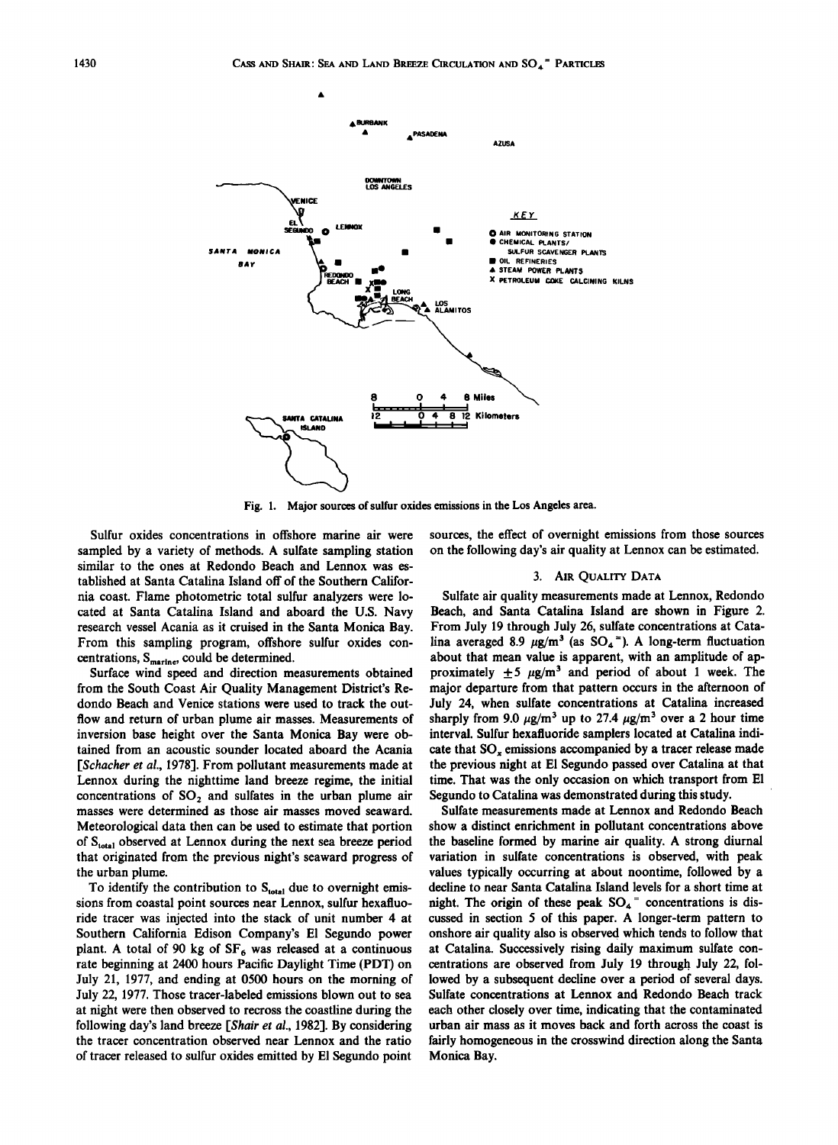

**Fig. 1. Major sources of sulfur oxides emissions in the Los Angeles area.** 

**Sulfur oxides concentrations in offshore marine air were sampled by a variety of methods. A sulfate sampling station similar to the ones at Redondo Beach and Lennox was established at Santa Catalina Island off of the Southern California coast. Flame photometric total sulfur analyzers were located at Santa Catalina Island and aboard the U.S. Navy research vessel Acania as it cruised in the Santa Monica Bay. From this sampling program, offshore sulfur oxides con**centrations, S<sub>marine</sub>, could be determined.

**Surface wind speed and direction measurements obtained from the South Coast Air Quality Management District's Redondo Beach and Venice stations were used to track the outflow and return of urban plume air masses. Measurements of inversion base height over the Santa Monica Bay were obtained from an acoustic sounder located aboard the Acania [Schacher et al., 1978]. From pollutant measurements made at Lennox during the nighttime land breeze regime, the initial**  concentrations of SO<sub>2</sub> and sulfates in the urban plume air **masses were determined as those air masses moved seaward. Meteorological data then can be used to estimate that portion**  of S<sub>total</sub> observed at Lennox during the next sea breeze period **that originated from the previous night's seaward progress of the urban plume.** 

To identify the contribution to S<sub>total</sub> due to overnight emis**sions from coastal point sources near Lennox, sulfur hcxafluoride tracer was injected into the stack of unit number 4 at Southern California Edison Company's E1 Segundo power**  plant. A total of 90 kg of SF<sub>6</sub> was released at a continuous **rate beginning at 2400 hours Pacific Daylight Time (PDT) on July 21, 1977, and ending at 0500 hours on the morning of July 22, 1977. Those tracer-labeled emissions blown out to sea at night were then observed to rccross the coastline during the following day's land breeze [Shair et al., 1982]. By considering the tracer concentration observed near Lennox and the ratio of tracer released to sulfur oxides emitted by E1 Segundo point** 

**sources, the effect of overnight emissions from those sources on the following day's air quality at Lennox can be estimated.** 

### **3. AIR QUALITY DATA**

**Sulfate air quality measurements made at Lennox, Redondo Beach, and Santa Catalina Island are shown in Figure 2.**  From July 19 through July 26, sulfate concentrations at Catalina averaged 8.9  $\mu$ g/m<sup>3</sup> (as SO<sub>4</sub><sup>=</sup>). A long-term fluctuation **about that mean value is apparent, with an amplitude of ap**proximately  $\pm 5$   $\mu$ g/m<sup>3</sup> and period of about 1 week. The **major departure from that pattern occurs in the afternoon of July 24, when sulfatc concentrations at Catalina increased**  sharply from 9.0  $\mu$ g/m<sup>3</sup> up to 27.4  $\mu$ g/m<sup>3</sup> over a 2 hour time **interval. Sulfur hexafluoride samplers located at Catalina indicate that SO,, emissions accompanied by a tracer release made the previous night at El Segundo passed over Catalina at that time. That was the only occasion on which transport from E1**  Segundo to Catalina was demonstrated during this study.

**Sulfatc measurements made at Lennox and Redondo Beach show a distinct enrichment in pollutant concentrations above the baseline formed by marine air quality. A strong diurnal variation in sulfate concentrations is observed, with peak values typically occurring at about noontime, followed by a decline to near Santa Catalina Island levels for a short time at**  night. The origin of these peak SO<sub>4</sub><sup>=</sup> concentrations is dis**cussed in section 5 of this paper. A longer-term pattern to onshore air quality also is observed which tends to follow that at Catalina. Successively rising daily maximum sulfate concentrations are observed from July 19 through July 22, followed by a subsequent decline over a period of several days.**  Sulfate concentrations at Lennox and Redondo Beach track **each other closely over time, indicating that the contaminated urban air mass as it moves back and forth across the coast is fairly homogeneous in the crosswind direction along the Santa Monica Bay.**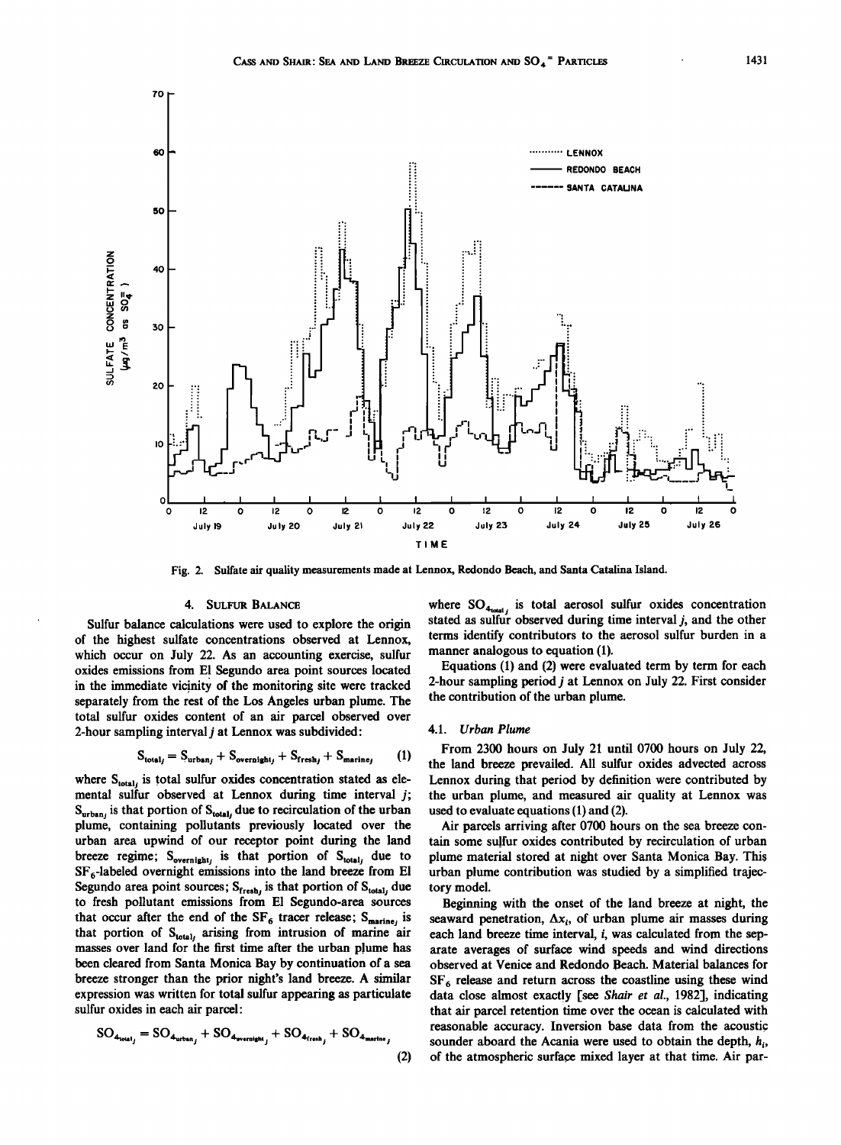

**Fig. 2. Sulfate air quality measurements made at Lennox, Redondo Beach, and Santa Catalina Island.** 

### **4. SULFUR BALANCE**

**7O** 

**Sulfur balance calculations were used to explore the origin of the highest sulfate concentrations observed at Lennox, which occur on July 22. As an accounting exercise, sulfur oxides emissions from El Segundo area point sources located**  in the immediate vicinity of the monitoring site were tracked **separately from the rest of the Los Angeles urban plume. The total sulfur oxides content of an air parcel observed over 2-hour sampling interval j at Lennox was subdivided:** 

$$
S_{total_j} = S_{urban_j} + S_{overall_j} + S_{fresh_j} + S_{marine_j} \qquad (1)
$$

where S<sub>total</sub> is total sulfur oxides concentration stated as ele**mental sulfur observed at Lennox during time interval j;**  S<sub>urban</sub>, is that portion of S<sub>total</sub>, due to recirculation of the urban **plume, containing pollutants previously located over the urban area upwind of our receptor point during the land**  breeze regime;  $S_{\text{overall}}$  is that portion of  $S_{\text{total}}$  due to SF<sub>6</sub>-labeled overnight emissions into the land breeze from El Segundo area point sources; S<sub>fresh</sub>, is that portion of S<sub>total</sub>, due **to fresh pollutant emissions from El Segundo-area sources**  that occur after the end of the  $SF_6$  tracer release;  $S_{\text{macro}}$  is that portion of S<sub>total</sub>, arising from intrusion of marine air **masses over land for the first time after the urban plume has been cleared from Santa Monica Bay by continuation of a sea breeze stronger than the prior night's land breeze. A similar expression was written for total sulfur appearing as particulate sulfur oxides in each air parcel:** 

$$
SO_{4_{total_j}} = SO_{4_{urban_j}} + SO_{4_{overall_j}} + SO_{4_{trah_j}} + SO_{4_{manine_j}}
$$

where SO<sub>4total</sub> is total aerosol sulfur oxides concentration stated as sulfur observed during time interval *j*, and the other **terms identify contributors to the aerosol sulfur burden in a manner analogous to equation (1).** 

**Equations (1) and (2) were evaluated term by term for each 2-hour sampling period j at Lennox on July 22. First consider the contribution of the urban plume.** 

# **4.1. Urban Plume**

**From 2300 hours on July 21 until 0700 hours on July 22, (1) the land breeze prevailed. All sulfur oxides advected across Lennox during that period by definition were contributed by the urban plume, and measured air quality at Lennox was used to evaluate equations (1) and (2).** 

**Air parcels arriving after 0700 hours on the sea breeze con**tain some sulfur oxides contributed by recirculation of urban **plume material stored at night over Santa Monica Bay. This urban plume contribution was studied by a simplified trajectory model.** 

**Beginning with the onset of the land breeze at night, the**  seaward penetration,  $\Delta x_i$ , of urban plume air masses during **each land breeze time interval, i, was calculated from the separate averages of surface wind speeds and wind directions observed at Venice and Redondo Beach. Material balances for**  SF<sub>6</sub> release and return across the coastline using these wind data close almost exactly [see Shair et al., 1982], indicating **that air parcel retention time over the ocean is calculated with reasonable accuracy. Inversion base data from the acoustic sounder aboard the Acania were used to obtain the depth, (2) of the atmospheric surface mixed layer at that time. Air par-**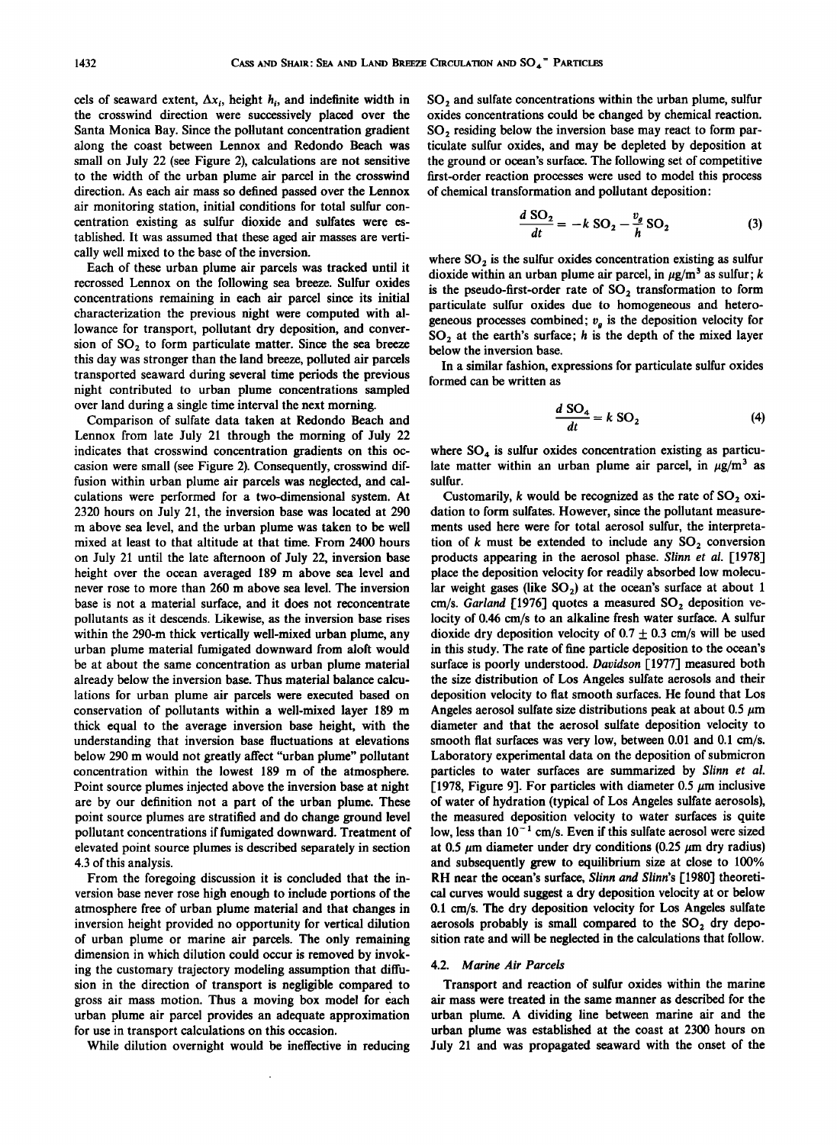cels of seaward extent,  $\Delta x_i$ , height  $h_i$ , and indefinite width in **the crosswind direction were successively placed over the Santa Monica Bay. Since the pollutant concentration gradient along the coast between Lennox and Redondo Beach was small on July 22 (see Figure 2), calculations are not sensitive to the width of the urban plume air parcel in the crosswind direction. As each air mass so defined passed over the Lennox air monitoring station, initial conditions for total sulfur concentration existing as sulfur dioxide and sulfates were established. It was assumed that these aged air masses are vertically well mixed to the base of the inversion.** 

**Each of these urban plume air parcels was tracked until it recrossed Lennox on the following sea breeze. Sulfur oxides concentrations remaining in each air parcel since its initial characterization the previous night were computed with allowance for transport, pollutant dry deposition, and conver**sion of SO<sub>2</sub> to form particulate matter. Since the sea breeze **this day was stronger than the land breeze, polluted air parcels transported seaward during several time periods the previous night contributed to urban plume concentrations sampled over land during a single time interval the next morning.** 

**Comparison of sulfate data taken at Redondo Beach and Lennox from late July 21 through the morning of July 22 indicates that crosswind concentration gradients on this occasion were small (see Figure 2). Consequently, crosswind diffusion within urban plume air parcels was neglected, and calculations were performed for a two-dimensional system. At 2320 hours on July 21, the inversion base was located at 290 m above sea level, and the urban plume was taken to be well mixed at least to that altitude at that time. From 2400 hours on July 21 until the late afternoon of July 22, inversion base height over the ocean averaged 189 m above sea level and never rose to more than 260 m above sea level. The inversion base is not a material surface, and it does not reconcentrate pollutants as it descends. Likewise, as the inversion base rises within the 290-m thick vertically well-mixed urban plume, any urban plume material fumigated downward from aloft would be at about the same concentration as urban plume material already below the inversion base. Thus material balance calculations for urban plume air parcels were executed based on conservation of pollutants within a well-mixed layer 189 m thick equal to the average inversion base height, with the understanding that inversion base fluctuations at elevations below 290 m would not greatly affect "urban plume" pollutant concentration within the lowest 189 m of the atmosphere. Point source plumes injected above the inversion base at night are by our definition not a part of the urban plume. These point source plumes are stratified and do change ground level pollutant concentrations if fumigated downward. Treatment of elevated point source plumes is described separately in section 4.3 of this analysis.** 

**From the foregoing discussion it is concluded that the inversion base never rose high enough to include portions of the atmosphere free of urban plume material and that changes in inversion height provided no opportunity for vertical dilution of urban plume or marine air parcels. The only remaining dimension in which dilution could occur is removed by invoking the customary trajectory modeling assumption that diffu**sion in the direction of transport is negligible compared to **gross air mass motion. Thus a moving box model for each urban plume air parcel provides an adequate approximation for use in transport calculations on this occasion.** 

**While dilution overnight would be ineffective in reducing** 

SO<sub>2</sub> and sulfate concentrations within the urban plume, sulfur **oxides concentrations could be changed by chemical reaction.**  SO<sub>2</sub> residing below the inversion base may react to form par**ticulate sulfur oxides, and may be depleted by deposition at the ground or ocean's surface. The following set of competitive first-order reaction processes were used to model this process of chemical transformation and pollutant deposition:** 

$$
\frac{d \text{ SO}_2}{dt} = -k \text{ SO}_2 - \frac{v_g}{h} \text{ SO}_2 \tag{3}
$$

where  $SO<sub>2</sub>$  is the sulfur oxides concentration existing as sulfur dioxide within an urban plume air parcel, in  $\mu$ g/m<sup>3</sup> as sulfur; k is the pseudo-first-order rate of SO<sub>2</sub> transformation to form **particulate sulfur oxides due to homogeneous and hetero**geneous processes combined;  $v<sub>g</sub>$  is the deposition velocity for SO<sub>2</sub> at the earth's surface; h is the depth of the mixed layer **below the inversion base.** 

**In a similar fashion, expressions for particulate sulfur oxides formed can be written as** 

$$
\frac{d \text{ SO}_4}{dt} = k \text{ SO}_2 \tag{4}
$$

where SO<sub>4</sub> is sulfur oxides concentration existing as particulate matter within an urban plume air parcel, in  $\mu$ g/m<sup>3</sup> as **sulfur.** 

Customarily, *k* would be recognized as the rate of SO<sub>2</sub> oxi**dation to form sulfates. However, since the pollutant measurements used here were for total aerosol sulfur, the interpreta**tion of  $k$  must be extended to include any  $SO<sub>2</sub>$  conversion **products appearing in the aerosol phase. Slinn et al. [1978] place the deposition velocity for readily absorbed low molecu**lar weight gases (like  $SO_2$ ) at the ocean's surface at about 1 cm/s. Garland [1976] quotes a measured SO<sub>2</sub> deposition ve**locity of 0.46 cm/s to an alkaline fresh water surface. A sulfur**  dioxide dry deposition velocity of  $0.7 \pm 0.3$  cm/s will be used **in this study. The rate of fine particle deposition to the ocean's surface is poorly understood. Davidson [1977] measured both the size distribution of Los Angeles sulfate aerosols and their deposition velocity to flat smooth surfaces. He found that Los**  Angeles aerosol sulfate size distributions peak at about  $0.5 \mu m$ **diameter and that the aerosol sulfate deposition velocity to smooth flat surfaces was very low, between 0.01 and 0.1 cm/s. Laboratory experimental data on the deposition of submicron particles to water surfaces are summarized by Slinn et al.**  [1978, Figure 9]. For particles with diameter  $0.5 \mu m$  inclusive **of water of hydration (typical of Los Angeles sulfate aerosols), the measured deposition velocity to water surfaces is quite**  low, less than  $10^{-1}$  cm/s. Even if this sulfate aerosol were sized at 0.5  $\mu$ m diameter under dry conditions (0.25  $\mu$ m dry radius) **and subsequently grew to equilibrium size at close to 100% RH near the ocean's surface, Slinn and Slinn's [1980] theoretical curves would suggest a dry deposition velocity at or below 0.1 cm/s. The dry deposition velocity for Los Angeles sulfate**  aerosols probably is small compared to the SO<sub>2</sub> dry depo**sition rate and will be neglected in the calculations that follow.** 

### **4.2. Marine Air Parcels**

**Transport and reaction of sulfur oxides within the marine air mass were treated in the same manner as described for the urban plume. A dividing line between marine air and the urban plume was established at the coast at 2300 hours on July 21 and was propagated seaward with the onset of the**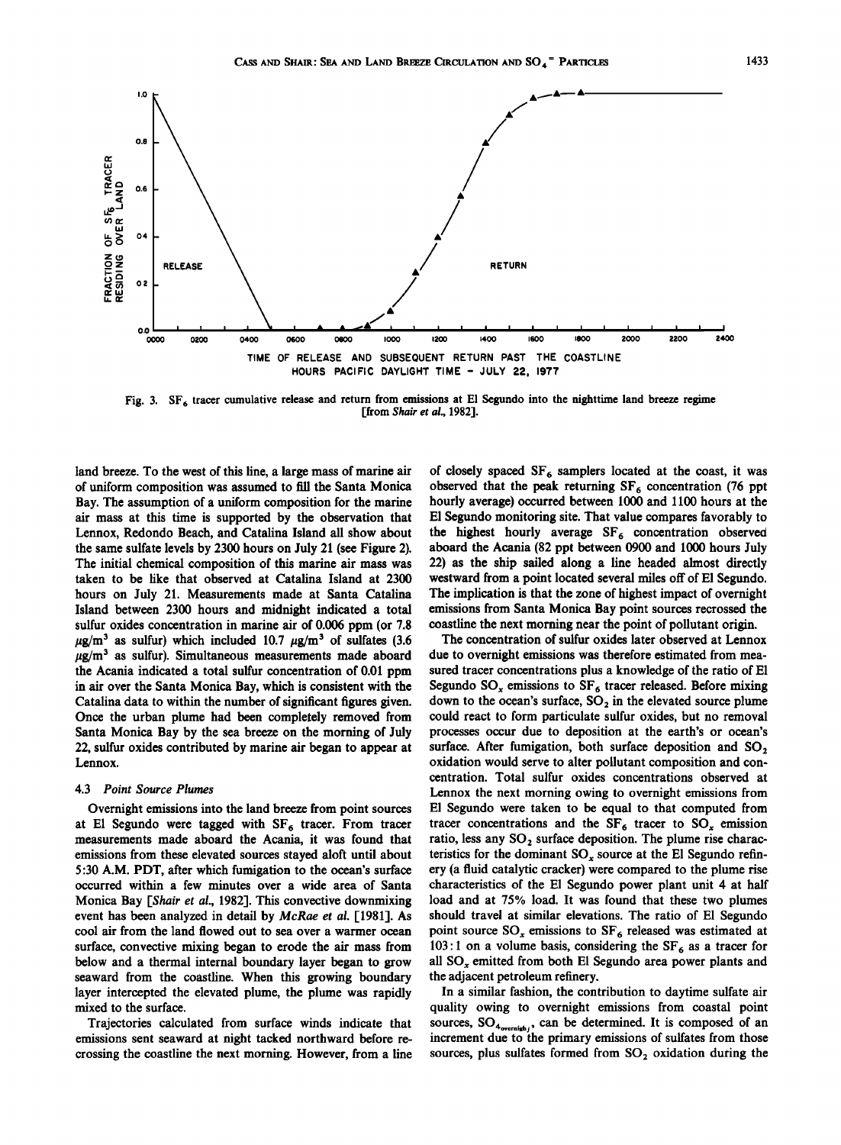

Fig. 3. SF<sub>6</sub> tracer cumulative release and return from emissions at El Segundo into the nighttime land breeze regime **[from Shair et al., 1982].** 

**land breeze. To the west of this line, a large mass of marine air of uniform composition was assumed to fill the Santa Monica Bay. The assumption of a uniform composition for the marine air mass at this time is supported by the observation that Lennox, Redondo Beach, and Catalina Island all show about the same sulfate levels by 2300 hours on July 21 (see Figure 2). The initial chemical composition of this marine air mass was taken to be like that observed at Catalina Island at 2300 hours on July 21. Measurements made at Santa Catalina Island between 2300 hours and midnight indicated a total sulfur oxides concentration in marine air of 0.006 ppm (or 7.8**   $\mu$ g/m<sup>3</sup> as sulfur) which included 10.7  $\mu$ g/m<sup>3</sup> of sulfates (3.6  $\mu$ g/m<sup>3</sup> as sulfur). Simultaneous measurements made aboard **the Acania indicated a total sulfur concentration of 0.01 ppm in air over the Santa Monica Bay, which is consistent with the Catalina data to within the number of significant figures given. Once the urban plume had been completely removed from Santa Monica Bay by the sea breeze on the morning of July 22, sulfur oxides contributed by marine air began to appear at Lennox.** 

### **4.3 Point Source Plumes**

**Overnight emissions into the land breeze from point sources**  at El Segundo were tagged with SF<sub>6</sub> tracer. From tracer **measurements made aboard the Acania, it was found that emissions from these elevated sources stayed aloft until about 5:30 A.M. PDT, after which fumigation to the ocean's surface occurred within a few minutes over a wide area of Santa Monica Bay [Shair et al., 1982]. This convective downmixing event has been analyzed in detail by McRae et al. [1981]. As cool air from the land flowed out to sea over a warmer ocean surface, convective mixing began to erode the air mass from below and a thermal internal boundary layer began to grow seaward from the coastline. When this growing boundary layer intercepted the elevated plume, the plume was rapidly mixed to the surface.** 

**Trajectories calculated from surface winds indicate that emissions sent seaward at night tacked northward before recrossing the coastline the next morning. However, from a line**  **of closely spaced SF 6 samplers located at the coast, it was observed that the peak returning SF<sub>6</sub> concentration (76 ppt hourly average) occurred between 1000 and 1100 hours at the El Segundo monitoring site. That value compares favorably to**  the highest hourly average SF<sub>6</sub> concentration observed **aboard the Acania (82 ppt between 0900 and 1000 hours July 22) as the ship sailed along a line headed almost directly westward from a point located several miles off of El Segundo. The implication is that the zone of highest impact of overnight emissions from Santa Monica Bay point sources recrossed the coastline the next morning near the point of pollutant origin.** 

**The concentration of sulfur oxides later observed at Lennox due to overnight emissions was therefore estimated from measured tracer concentrations plus a knowledge of the ratio of El**  Segundo SO<sub>x</sub> emissions to SF<sub>6</sub> tracer released. Before mixing down to the ocean's surface, SO<sub>2</sub> in the elevated source plume **could react to form particulate sulfur oxides, but no removal processes occur due to deposition at the earth's or ocean's**  surface. After fumigation, both surface deposition and SO<sub>2</sub> **oxidation would serve to alter pollutant composition and concentration. Total sulfur oxides concentrations observed at Lennox the next morning owing to overnight emissions from E1 Segundo were taken to be equal to that computed from**  tracer concentrations and the  $SF_6$  tracer to  $SO_x$  emission ratio, less any SO<sub>2</sub> surface deposition. The plume rise characteristics for the dominant SO<sub>x</sub> source at the El Segundo refin**ery (a fluid catalytic cracker) were compared to the plume rise characteristics of the E1 Segundo power plant unit 4 at half load and at 75% load. It was found that these two plumes should travel at similar elevations. The ratio of El Segundo**  point source SO<sub>r</sub> emissions to SF<sub>6</sub> released was estimated at 103:1 on a volume basis, considering the  $SF<sub>6</sub>$  as a tracer for **all SO,, emitted from both E1 Segundo area power plants and the adjacent petroleum refinery.** 

**In a similar fashion, the contribution to daytime sulfate air quality owing to overnight emissions from coastal point**  sources,  $SO_{4_{overnight}}$ , can be determined. It is composed of an **increment due to the primary emissions of sulfates from those**  sources, plus sulfates formed from SO<sub>2</sub> oxidation during the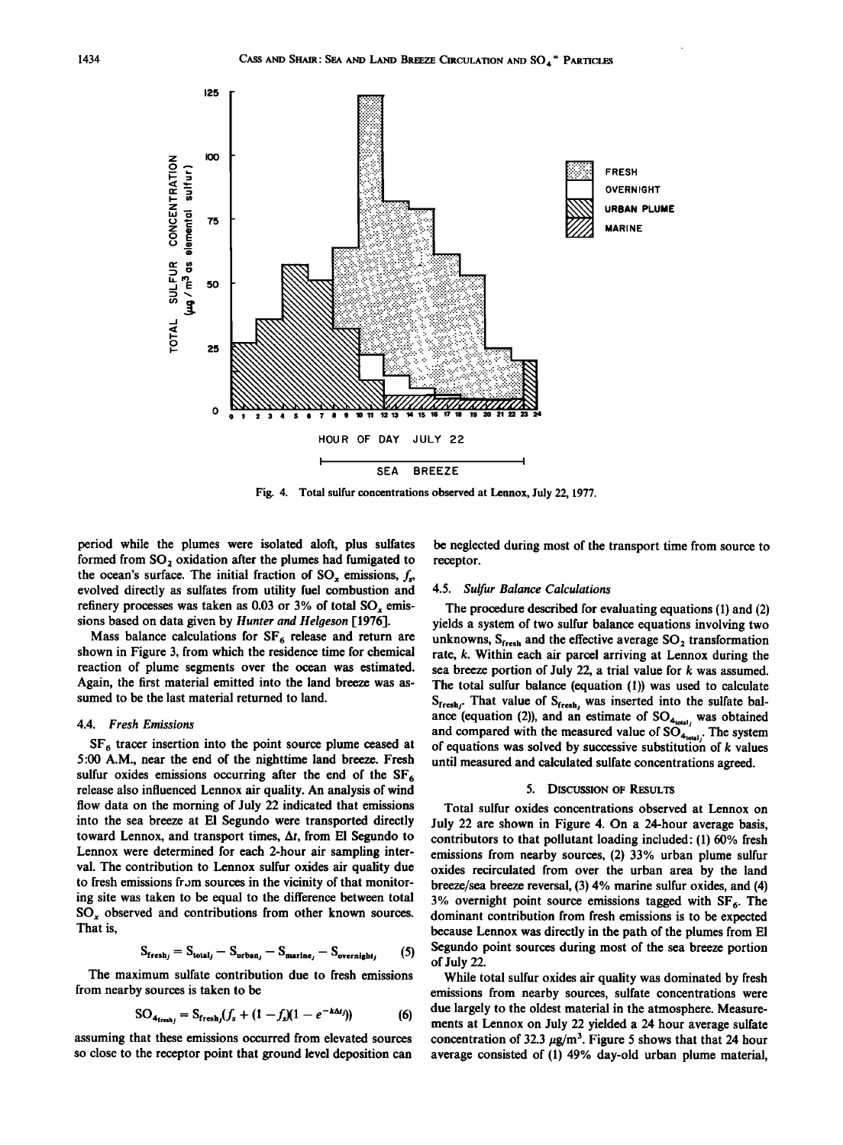

**Fig. 4. Total sulfur concentrations observed at Lennox, July 22, 1977.** 

**period while the plumes were isolated aloft, plus sulfates**  formed from SO<sub>2</sub> oxidation after the plumes had fumigated to the ocean's surface. The initial fraction of  $SO_x$  emissions,  $f_x$ , **evolved directly as sulfates from utility fuel combustion and**  refinery processes was taken as 0.03 or 3% of total SO, emis**sions based on data given by Hunter and Helgeson [1976].** 

Mass balance calculations for SF<sub>6</sub> release and return are **shown in Figure 3, from which the residence time for chemical reaction of plume segments over the ocean was estimated. Again, the first material emitted into the land breeze was assumed to be the last material returned to land.** 

#### **4.4. Fresh Emissions**

SF<sub>6</sub> tracer insertion into the point source plume ceased at **5:00 A.M., near the end of the nighttime land breeze. Fresh sulfur oxides emissions occurring after the end of the SF 6 release also influenced Lennox air quality. An analysis of wind flow data on the morning of July 22 indicated that emissions into the sea breeze at E1 Segundo were transported directly toward Lennox, and transport times, At, from E1 Segundo to Lennox were determined for each 2-hour air sampling interval. The contribution to Lennox sulfur oxides air quality due to fresh emissions from sources in the vicinity of that monitoring site was taken to be equal to the difference between total SO,, observed and contributions from other known sources. That is,** 

$$
S_{\text{fresh}_j} = S_{\text{total}_j} - S_{\text{urban}_j} - S_{\text{marine}_j} - S_{\text{overnight}_j} \tag{5}
$$

The maximum sulfate contribution due to fresh emissions **from nearby sources is taken to be** 

$$
SO_{4_{\text{freah}_j}} = S_{\text{fresh}_j}(f_s + (1 - f_s)(1 - e^{-k\Delta t_j}))
$$
 (6)

**assuming that these emissions occurred from elevated sources**  so close to the receptor point that ground level deposition can be neglected during most of the transport time from source to **receptor.** 

# **4.5. Sulfur Balance Calculations**

**The procedure described for evaluating equations (1) and (2) yields a system of two sulfur balance equations involving two**  unknowns, S<sub>fresh</sub> and the effective average SO<sub>2</sub> transformation **rate, k. Within each air parcel arriving at Lennox during the sea breeze portion of July 22, a trial value for k was assumed. The total sulfur balance (equation (1)) was used to calculate**  S<sub>fresh</sub>. That value of S<sub>fresh</sub>, was inserted into the sulfate balance (equation (2)), and an estimate of  $SO_{4_{total}}$ , was obtained and compared with the measured value of  $SO_{4_{total}}$ . The system of equations was solved by successive substitution of k values **until measured and calculated sulfate concentrations agreed.** 

### **5. DISCUSSION OF RESULTS**

**Total sulfur oxides concentrations observed at Lennox on July 22 are shown in Figure 4. On a 24-hour average basis, contributors to that pollutant loading included: (1) 60% fresh emissions from nearby sources, (2) 33% urban plume sulfur oxides recirculated from over the urban area by the land breeze/sea breeze reversal, (3) 4% marine sulfur oxides, and (4) 3% overnight point source emissions tagged with SF 6. The dominant contribution from fresh emissions is to be expected because Lennox was directly in the path of the plumes from E1 Segundo point sources during most of the sea breeze portion of July 22.** 

**While total sulfur oxides air quality was dominated by fresh emissions from nearby sources, sulfate concentrations were due largely to the oldest material in the atmosphere. Measurements at Lennox on July 22 yielded a 24 hour average sulfate**  concentration of 32.3  $\mu$ g/m<sup>3</sup>. Figure 5 shows that that 24 hour **average consisted of (1) 49% day-old urban plume material,**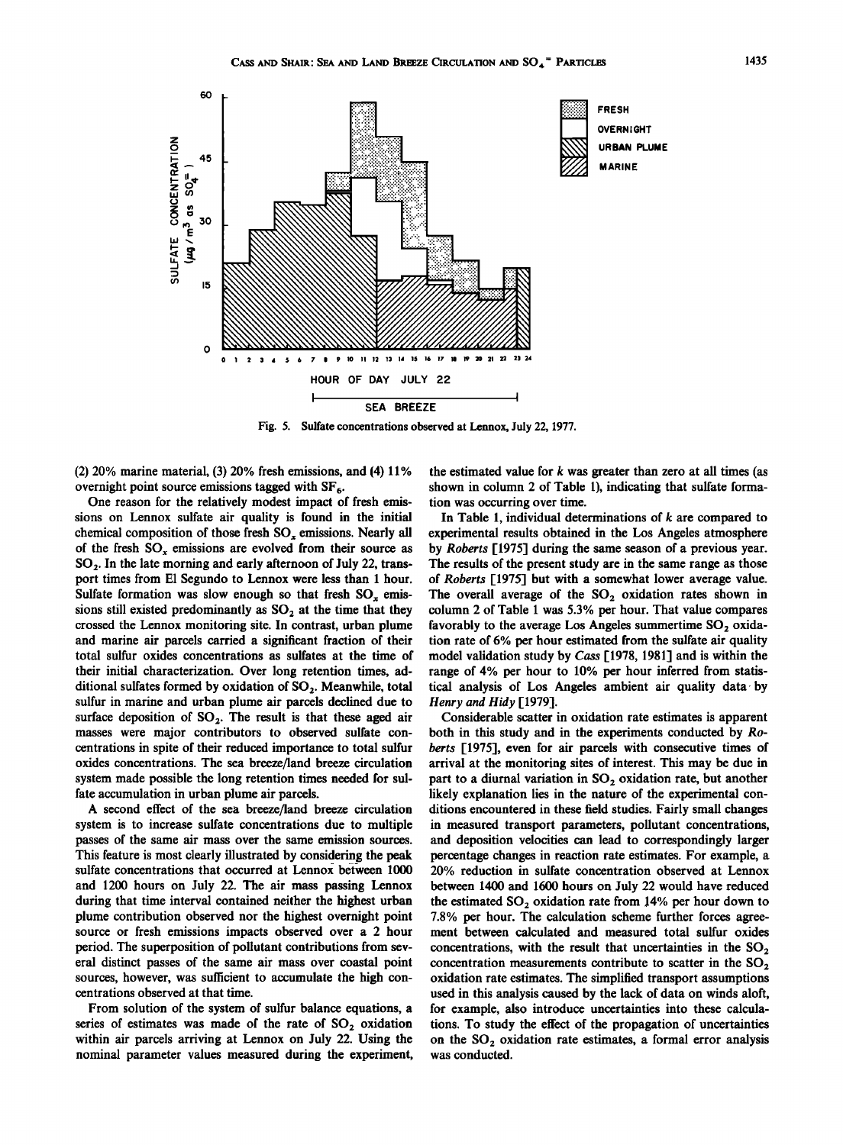

**Fig. 5. Sulfate concentrations observed at Lennox, July 22, 1977.** 

**(2) 20% marine material, (3) 20% fresh emissions, and (4) 11%**  overnight point source emissions tagged with SF<sub>6</sub>.

**One reason for the relatively modest impact of fresh emissions on Lennox sulfate air quality is found in the initial**  chemical composition of those fresh SO<sub>x</sub> emissions. Nearly all **of the fresh SO,, emissions are evolved from their source as SO2. In the late morning and early afternoon of July 22, transport times from El Segundo to Lennox were less than 1 hour.**  Sulfate formation was slow enough so that fresh  $SO_x$  emissions still existed predominantly as SO<sub>2</sub> at the time that they **crossed the Lennox monitoring site. In contrast, urban plume and marine air parcels carried a significant fraction of their total sulfur oxides concentrations as sulfates at the time of their initial characterization. Over long retention times, ad**ditional sulfates formed by oxidation of SO<sub>2</sub>. Meanwhile, total **sulfur in marine and urban plume air parcels declined due to**  surface deposition of SO<sub>2</sub>. The result is that these aged air **masses were major contributors to observed sulfate concentrations in spite of their reduced importance to total sulfur oxides concentrations. The sea breeze/land breeze circulation system made possible the long retention times needed for sulfate accumulation in urban plume air parcels.** 

**A second effect of the sea breeze/land breeze circulation system is to increase sulfate concentrations due to multiple passes of the same air mass over the same emission sources. This feature is most clearly illustrated by considering the peak sulfate concentrations that occurred at Lennox between 1000 and 1200 hours on July 22. The air mass passing Lennox during that time interval contained neither the highest urban plume contribution observed nor the highest overnight point source or fresh emissions impacts observed over a 2 hour period. The superposition of pollutant contributions from several distinct passes of the same air mass over coastal point sources, however, was sufficient to accumulate the high concentrations observed at that time.** 

**From solution of the system of sulfur balance equations, a**  series of estimates was made of the rate of SO<sub>2</sub> oxidation **within air parcels arriving at Lennox on July 22. Using the nominal parameter values measured during the experiment,** 

**the estimated value for k was greater than zero at all times (as shown in column 2 of Table 1), indicating that sulfate formation was occurring over time.** 

**In Table 1, individual determinations of k are compared to experimental results obtained in the Los Angeles atmosphere by Roberts [1975] during the same season of a previous year. The results of the present study are in the same range as those of Roberts [1975] but with a somewhat lower average value.**  The overall average of the SO<sub>2</sub> oxidation rates shown in **column 2 of Table 1 was 5.3% per hour. That value compares**  favorably to the average Los Angeles summertime SO<sub>2</sub> oxida**tion rate of 6% per hour estimated from the sulfate air quality model validation study by Cass [1978, 1981] and is within the range of 4% per hour to 10% per hour inferred from statistical analysis of Los Angeles ambient air quality data-by Henry and Hidy [1979].** 

**Considerable scatter in oxidation rate estimates is apparent both in this study and in the experiments conducted by Roberts [1975], even for air parcels with consecutive times of arrival at the monitoring sites of interest. This may be due in**  part to a diurnal variation in SO<sub>2</sub> oxidation rate, but another **likely explanation lies in the nature of the experimental conditions encountered in these field studies. Fairly small changes in measured transport parameters, pollutant concentrations, and deposition velocities can lead to correspondingly larger percentage changes in reaction rate estimates. For example, a 20% reduction in sulfate concentration observed at Lennox between 1400 and 1600 hours on July 22 would have reduced**  the estimated SO<sub>2</sub> oxidation rate from 14% per hour down to **7.8% per hour. The calculation scheme further forces agreement between calculated and measured total sulfur oxides**  concentrations, with the result that uncertainties in the SO<sub>2</sub> concentration measurements contribute to scatter in the SO<sub>2</sub> **oxidation rate estimates. The simplified transport assumptions used in this analysis caused by the lack of data on winds aloft, for example, also introduce uncertainties into these calculations. To study the effect of the propagation of uncertainties**  on the SO<sub>2</sub> oxidation rate estimates, a formal error analysis **was conducted.**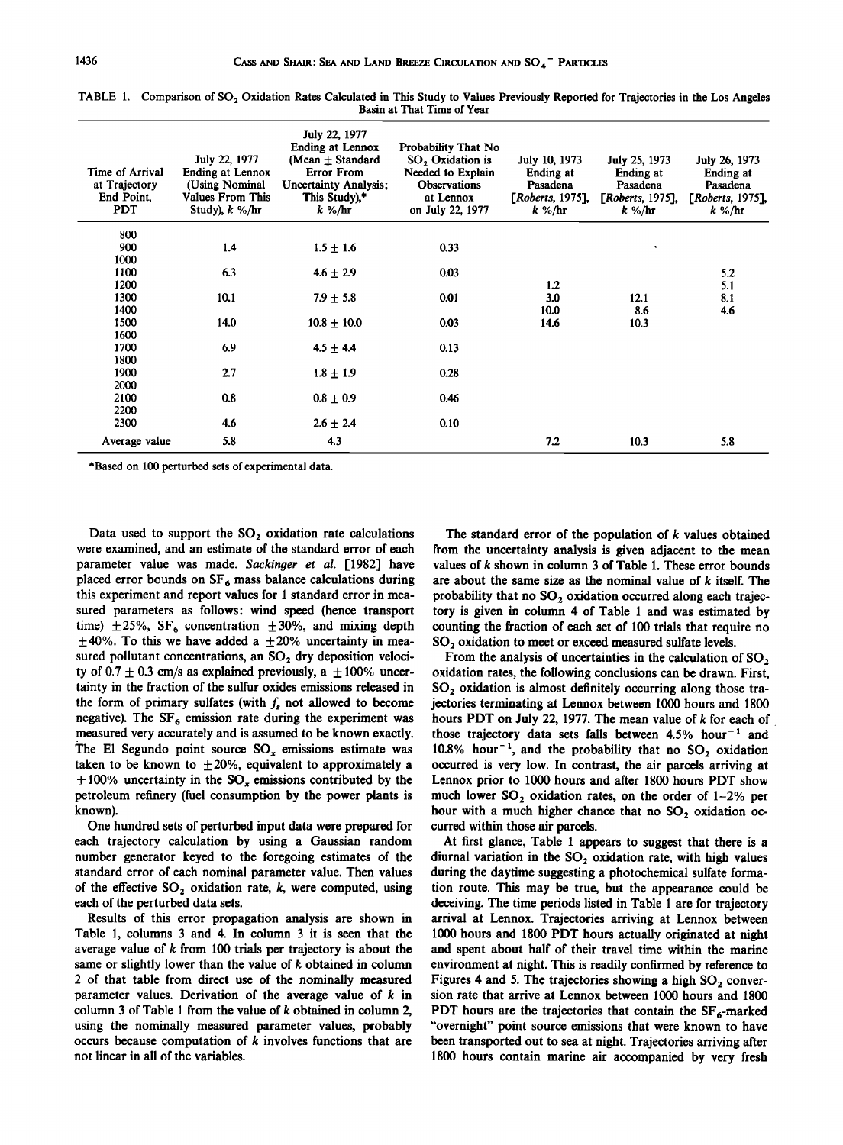| Time of Arrival<br>at Trajectory<br>End Point,<br><b>PDT</b> | July 22, 1977<br><b>Ending at Lennox</b><br>(Using Nominal<br>Values From This<br>Study), $k \%$ /hr | July 22, 1977<br><b>Ending at Lennox</b><br>(Mean $\pm$ Standard<br><b>Error From</b><br><b>Uncertainty Analysis;</b><br>This Study),*<br>k %/hr | Probability That No<br>SO <sub>2</sub> Oxidation is<br>Needed to Explain<br><b>Observations</b><br>at Lennox<br>on July 22, 1977 | July 10, 1973<br>Ending at<br>Pasadena<br>[Roberts, 1975],<br>$k \frac{9}{5}$ hr | July 25, 1973<br>Ending at<br>Pasadena<br>[Roberts, 1975],<br>k %/hr | July 26, 1973<br>Ending at<br>Pasadena<br>[Roberts, 1975],<br>$k\%$ /hr |
|--------------------------------------------------------------|------------------------------------------------------------------------------------------------------|--------------------------------------------------------------------------------------------------------------------------------------------------|----------------------------------------------------------------------------------------------------------------------------------|----------------------------------------------------------------------------------|----------------------------------------------------------------------|-------------------------------------------------------------------------|
| 800                                                          |                                                                                                      |                                                                                                                                                  |                                                                                                                                  |                                                                                  |                                                                      |                                                                         |
| 900                                                          | 1.4                                                                                                  | $1.5 + 1.6$                                                                                                                                      | 0.33                                                                                                                             |                                                                                  |                                                                      |                                                                         |
| 1000                                                         |                                                                                                      |                                                                                                                                                  |                                                                                                                                  |                                                                                  |                                                                      |                                                                         |
| 1100                                                         | 6.3                                                                                                  | $4.6 \pm 2.9$                                                                                                                                    | 0.03                                                                                                                             |                                                                                  |                                                                      | 5.2                                                                     |
| 1200                                                         |                                                                                                      |                                                                                                                                                  |                                                                                                                                  | 1.2                                                                              |                                                                      | 5.1                                                                     |
| 1300                                                         | 10.1                                                                                                 | $7.9 \pm 5.8$                                                                                                                                    | 0.01                                                                                                                             | 3.0                                                                              | 12.1                                                                 | 8.1                                                                     |
| 1400                                                         |                                                                                                      |                                                                                                                                                  |                                                                                                                                  | 10.0                                                                             | 8.6                                                                  | 4.6                                                                     |
| 1500                                                         | 14.0                                                                                                 | $10.8 \pm 10.0$                                                                                                                                  | 0.03                                                                                                                             | 14.6                                                                             | 10.3                                                                 |                                                                         |
| 1600                                                         |                                                                                                      |                                                                                                                                                  |                                                                                                                                  |                                                                                  |                                                                      |                                                                         |
| 1700                                                         | 6.9                                                                                                  | $4.5 \pm 4.4$                                                                                                                                    | 0.13                                                                                                                             |                                                                                  |                                                                      |                                                                         |
| 1800                                                         |                                                                                                      |                                                                                                                                                  |                                                                                                                                  |                                                                                  |                                                                      |                                                                         |
| 1900                                                         | 2.7                                                                                                  | $1.8 \pm 1.9$                                                                                                                                    | 0.28                                                                                                                             |                                                                                  |                                                                      |                                                                         |
| 2000                                                         |                                                                                                      |                                                                                                                                                  |                                                                                                                                  |                                                                                  |                                                                      |                                                                         |
| 2100<br>2200                                                 | 0.8                                                                                                  | $0.8 + 0.9$                                                                                                                                      | 0.46                                                                                                                             |                                                                                  |                                                                      |                                                                         |
| 2300                                                         | 4.6                                                                                                  | $2.6 \pm 2.4$                                                                                                                                    | 0.10                                                                                                                             |                                                                                  |                                                                      |                                                                         |
|                                                              |                                                                                                      |                                                                                                                                                  |                                                                                                                                  |                                                                                  |                                                                      |                                                                         |
| Average value                                                | 5.8                                                                                                  | 4.3                                                                                                                                              |                                                                                                                                  | 7.2                                                                              | 10.3                                                                 | 5.8                                                                     |

TABLE 1. Comparison of SO<sub>2</sub> Oxidation Rates Calculated in This Study to Values Previously Reported for Trajectories in the Los Angeles **Basin at That Time of Year** 

**\*Based on 100 perturbed sets of experimental data.** 

Data used to support the SO<sub>2</sub> oxidation rate calculations **were examined, and an estimate of the standard error of each parameter value was made. Sackinger et al. [1982] have**  placed error bounds on SF<sub>6</sub> mass balance calculations during **this experiment and report values for 1 standard error in mea**sured parameters as follows: wind speed (hence transport time)  $\pm 25\%$ , SF<sub>6</sub> concentration  $\pm 30\%$ , and mixing depth  $\pm$ 40%. To this we have added a  $\pm$  20% uncertainty in measured pollutant concentrations, an SO<sub>2</sub> dry deposition velocity of  $0.7 \pm 0.3$  cm/s as explained previously, a  $\pm 100\%$  uncer**tainty in the fraction of the sulfur oxides emissions released in**  the form of primary sulfates (with  $f<sub>s</sub>$  not allowed to become negative). The  $SF<sub>6</sub>$  emission rate during the experiment was **measured very accurately and is assumed to be known exactly.**  The El Segundo point source SO<sub>x</sub> emissions estimate was taken to be known to  $\pm 20$ %, equivalent to approximately a  $\pm 100\%$  uncertainty in the SO<sub>r</sub> emissions contributed by the **petroleum refinery (fuel consumption by the power plants is known).** 

**One hundred sets of perturbed input data were prepared for each trajectory calculation by using a Gaussian random number generator keyed to the foregoing estimates of the standard error of each nominal parameter value. Then values of the effective SO,\_ oxidation rate, k, were computed, using each of the perturbed data sets.** 

**Results of this error propagation analysis are shown in Table 1, columns 3 and 4. In column 3 it is seen that the average value of k from 100 trials per trajectory is about the same or slightly lower than the value of k obtained in column 2 of that table from direct use of the nominally measured parameter values. Derivation of the average value of k in column 3 of Table 1 from the value of k obtained in column 2, using the nominally measured parameter values, probably occurs because computation of k involves functions that are not linear in all of the variables.** 

**The standard error of the population of k values obtained from the uncertainty analysis is given adjacent to the mean values of k shown in column 3 of Table 1. These error bounds are about the same size as the nominal value of k itself. The**  probability that no SO<sub>2</sub> oxidation occurred along each trajec**tory is given in column 4 of Table 1 and was estimated by counting the fraction of each set of 100 trials that require no**  SO<sub>2</sub> oxidation to meet or exceed measured sulfate levels.

**From the analysis of uncertainties in the calculation of SO,\_ oxidation rates, the following conclusions can be drawn. First,**  SO<sub>2</sub> oxidation is almost definitely occurring along those tra**jectories terminating at Lennox between 1000 hours and 1800 hours PDT on July 22, 1977. The mean value of k for each of**  those trajectory data sets falls between 4.5% hour<sup>-1</sup> and 10.8% hour<sup>-1</sup>, and the probability that no  $SO_2$  oxidation **occurred is very low. In contrast, the air parcels arriving at Lennox prior to 1000 hours and after 1800 hours PDT show**  much lower  $SO_2$  oxidation rates, on the order of  $1-2%$  per hour with a much higher chance that no SO<sub>2</sub> oxidation oc**curred within those air parcels.** 

**At first glance, Table 1 appears to suggest that there is a**  diurnal variation in the SO<sub>2</sub> oxidation rate, with high values **during the daytime suggesting a photochemical sulfate formation route. This may be true, but the appearance could be deceiving. The time periods listed in Table 1 are for trajectory arrival at Lennox. Trajectories arriving at Lennox between 1000 hours and 1800 PDT hours actually originated at night and spent about half of their travel time within the marine environment at night. This is readily confirmed by reference to**  Figures 4 and 5. The trajectories showing a high SO<sub>2</sub> conver**sion rate that arrive at Lennox between 1000 hours and 1800 PDT** hours are the trajectories that contain the  $SF_6$ -marked **"overnight" point source emissions that were known to have been transported out to sea at night. Trajectories arriving after 1800 hours contain marine air accompanied by very fresh**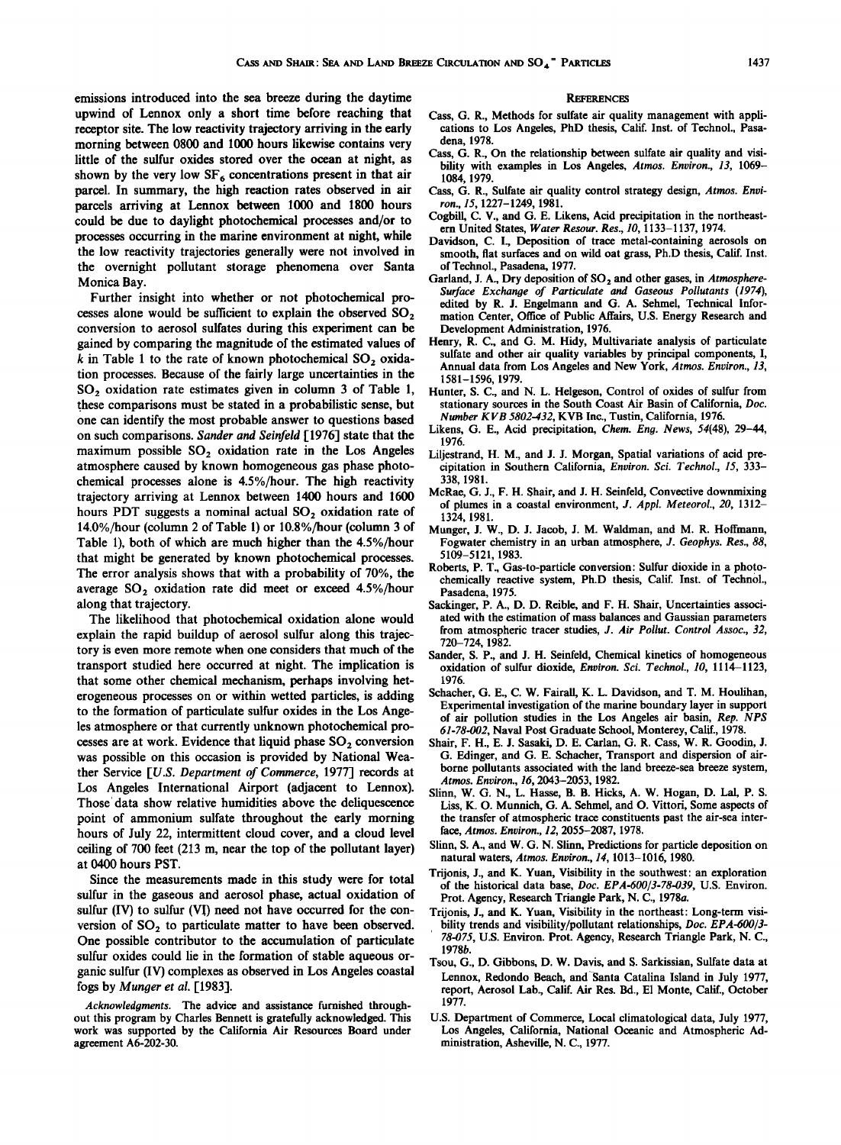**emissions introduced into the sea breeze during the daytime upwind of Lennox only a short time before reaching that receptor site. The low reactivity trajectory arriving in the early morning between 0800 and 1000 hours likewise contains very little of the sulfur oxides stored over the ocean at night, as**  shown by the very low SF<sub>6</sub> concentrations present in that air **parcel. In summary, the high reaction rates observed in air parcels arriving at Lennox between 1000 and 1800 hours could be due to daylight photochemical processes and/or to processes occurring in the marine environment at night, while the low reactivity trajectories generally were not involved in the overnight pollutant storage phenomena over Santa Monica Bay.** 

**Further insight into whether or not photochemical pro**cesses alone would be sufficient to explain the observed SO<sub>2</sub> **conversion to aerosol sulfates during this experiment can be**  k in Table 1 to the rate of known photochemical SO<sub>2</sub> oxida**tion processes. Because of the fairly large uncertainties in the**  SO<sub>2</sub> oxidation rate estimates given in column 3 of Table 1, **these comparisons must be stated in a probabilistic sense, but one can identify the most probable answer to questions based on such comparisons. Sander and \$einfeld [1976] state that the**  maximum possible SO<sub>2</sub> oxidation rate in the Los Angeles **atmosphere caused by known homogeneous gas phase photochemical processes alone is 4.5%/hour. The high reactivity trajectory arriving at Lennox between 1400 hours and 1600**  hours PDT suggests a nominal actual SO<sub>2</sub> oxidation rate of **14.0%/hour (column 2 of Table 1) or 10.8%/hour (column 3 of Table 1), both of which are much higher than the 4.5%/hour that might be generated by known photochemical processes. The error analysis shows that with a probability of 70%, the**  average SO<sub>2</sub> oxidation rate did meet or exceed 4.5%/hour **along that trajectory.** 

**The likelihood that photochemical oxidation alone would explain the rapid buildup of aerosol sulfur along this trajectory is even more remote when one considers that much of the transport studied here occurred at night. The implication is that some other chemical mechanism, perhaps involving heterogeneous processes on or within wetted particles, is adding to the formation of particulate sulfur oxides in the Los Angeles atmosphere or that currently unknown photochemical pro**cesses are at work. Evidence that liquid phase SO<sub>2</sub> conversion **was possible on this occasion is provided by National Weather Service [U.S. Department of Commerce, 1977] records at Los Angeles International Airport (adjacent to Lennox). Those' data show relative humidities above the deliquescence point of ammonium sulfate throughout the early morning hours of July 22, intermittent cloud cover, and a cloud level ceiling of 700 feet (213 m, near the top of the pollutant layer) at 0400 hours PST.** 

**Since the measurements made in this study were for total sulfur in the gaseous and aerosol phase, actual oxidation of**  sulfur (IV) to sulfur (VI) need not have occurred for the conversion of SO<sub>2</sub> to particulate matter to have been observed. **One possible contributor to the accumulation of particulate sulfur oxides could lie in the formation of stable aqueous organic sulfur (IV) complexes as observed in Los Angeles coastal fogs by Munger et al. [1983].** 

**Acknowledgments. The advice and assistance furnished throughout this program by Charles Bennett is gratefully acknowledged. This work was supported by the California Air Resources Board under agreement A6-202-30.** 

#### **REFERENCES**

- **Cass, G. R., Methods for sulfate air quality management with appli**cations to Los Angeles, PhD thesis, Calif. Inst. of Technol., Pasa**dena, 1978.**
- **Cass, G. R., On the relationship between sulfate air quality and visi**bility with examples in Los Angeles, Atmos. Environ., 13, 1069-**1084, 1979.**
- **Cass, G. R., Sulfate air quality control strategy design, Atmos. Environ., 15, 1227-1249, 1981.**
- **Cogbill, C. V., and G. E. Likens, Acid precipitation in the northeastern United States, Water Resour. Res., 10, 1133-1137, 1974.**
- **Davidson, C. I., Deposition of trace metal-containing aerosols on smooth, flat surfaces and on wild oat grass, Ph.D thesis, Calif. Inst. of Technol., Pasadena, 1977.**
- Garland, J. A., Dry deposition of SO<sub>2</sub> and other gases, in Atmosphere-**Surface Exchange of Particulate and Gaseous Pollutants (1974),**  edited by R. J. Engelmann and G. A. Sehmel, Technical Infor**mation Center, Office of Public Affairs, U.S. Energy Research and Development Administration, 1976.**
- Henry, R. C., and G. M. Hidy, Multivariate analysis of particulate sulfate and other air quality variables by principal components, I, **Annual data from Los Angeles and New York, Atmos. Environ., 13, 1581-1596, 1979.**
- **Hunter, S.C., and N. L. Helgeson, Control of oxides of sulfur from stationary sources in the South Coast Air Basin of California, Doc. Number KVB 5802-432, KVB Inc., Tustin, California, 1976.**
- **Likens, G. E., Acid precipitation, Chem. Eng. News, 54(48), 29-44, 1976.**
- **Liljestrand, H. M., and J. J. Morgan, Spatial variations of acid precipitation in Southern California, Environ. Sci. Technol., 15, 333- 338, 1981.**
- **McRae, G. J., F. H. Shair, and J. H. Seinfeld, Convective downmixing of plumes in a coastal environment, J. Appl. Meteorol., 20, 1312- 1324, 1981.**
- **Munger, J. W., D. J. Jacob, J. M. Waldman, and M. R. Hoffmann, Fogwater chemistry in an urban atmosphere, J. Geophys. Res., 88, 5109-5121, 1983.**
- **Roberts, P. T., Gas-to-particle conversion: Sulfur dioxide in a photochemically reactive system, Ph.D thesis, Calif. Inst. of Technol., Pasadena, 1975.**
- **Sackinger, P. A., D. D. Reible, and F. H. Shair, Uncertainties associated with the estimation of mass balances and Gaussian parameters from atmospheric tracer studies, J. Air Pollut. Control Assoc., 32, 720-724, 1982.**
- **Sander, S. P., and J. H. Seinfeld, Chemical kinetics of homogeneous oxidation of sulfur dioxide, Environ. Sci. Technol., 10, 1114-1123, 1976.**
- **Schacher, G. E., C. W. Fairall, K. L. Davidson, and T. M. Houlihan, Experimental investigation of the marine boundary layer in support of air pollution studies in the Los Angeles air basin, Rep. NPS 61-78-002, Naval Post Graduate School, Monterey, Calif., 1978.**
- **Shair, F. H., E. J. Sasaki, D. E. Carlan, G. R. Cass, W. R. Goodin, J. G. Edinger, and G. E. Schacher, Transport and dispersion of airborne pollutants associated with the land breeze-sea breeze system, Atmos. Environ., 16, 2043-2053, 1982.**
- **Slinn, W. G. N., L. Hasse, B. B. Hicks, A. W. Hogan, D. Lal, P.S. Liss, K. O. Munnich, G. A. Sehmel, and O. Vittori, Some aspects of the transfer of atmospheric trace constituents past the air-sea interface, Atmos. Environ., 12, 2055-2087, 1978.**
- **Slinn, S. A., and W. G. N. Slinn, Predictions for particle deposition on natural waters, Atmos. Environ., 14, 1013-1016, 1980.**
- **Trijonis, J., and K. Yuan, Visibility in the southwest: an exploration of the historical data base, Doc. EPA-600/3-78-039, U.S. Environ. Prot. Agency, Research Triangle Park, N. C., 1978a.**
- **Trijonis, J., and K. Yuan, Visibility in the northeast: Long-term visibility trends and visibility/pollutant relationships, Doc. EPA-600/3- 78-075, U.S. Environ. Prot. Agency, Research Triangle Park, N. C., 1978b.**
- **Tsou, G., D. Gibbons, D. W. Davis, and S. Sarkissian, Sulfate data at Lennox, Redondo Beach, and Santa Catalina Island in July 1977, report, Aerosol Lab., Calif. Air Res. Bd., E1 Monte, Calif., October 1977.**
- **U.S. Department of Commerce, Local climatological data, July 1977, Los Angeles, California, National Oceanic and Atmospheric Administration, Asheville, N. C., 1977.**